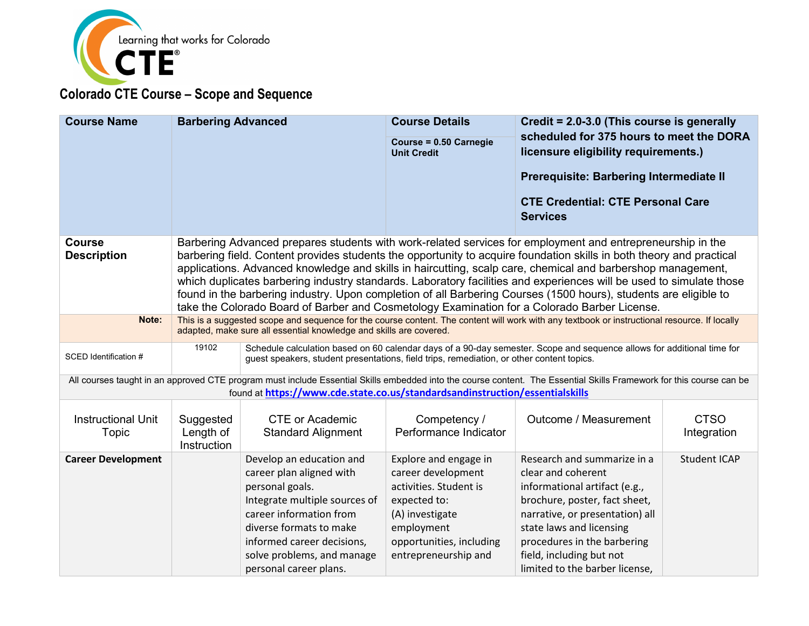

| <b>Course Name</b>                                                                                                                                                                                                                                                                                                                                                                                                                                                                                                                                                                                                                                                                                                                  | <b>Barbering Advanced</b>                                                                                                                                                                                          |                                                                                                                                                                                                                                                      | <b>Course Details</b><br>Course = 0.50 Carnegie<br><b>Unit Credit</b>                                                                                                      | Credit = 2.0-3.0 (This course is generally<br>scheduled for 375 hours to meet the DORA<br>licensure eligibility requirements.)<br>Prerequisite: Barbering Intermediate II<br><b>CTE Credential: CTE Personal Care</b><br><b>Services</b>                                        |                            |
|-------------------------------------------------------------------------------------------------------------------------------------------------------------------------------------------------------------------------------------------------------------------------------------------------------------------------------------------------------------------------------------------------------------------------------------------------------------------------------------------------------------------------------------------------------------------------------------------------------------------------------------------------------------------------------------------------------------------------------------|--------------------------------------------------------------------------------------------------------------------------------------------------------------------------------------------------------------------|------------------------------------------------------------------------------------------------------------------------------------------------------------------------------------------------------------------------------------------------------|----------------------------------------------------------------------------------------------------------------------------------------------------------------------------|---------------------------------------------------------------------------------------------------------------------------------------------------------------------------------------------------------------------------------------------------------------------------------|----------------------------|
| <b>Course</b><br>Barbering Advanced prepares students with work-related services for employment and entrepreneurship in the<br><b>Description</b><br>barbering field. Content provides students the opportunity to acquire foundation skills in both theory and practical<br>applications. Advanced knowledge and skills in haircutting, scalp care, chemical and barbershop management,<br>which duplicates barbering industry standards. Laboratory facilities and experiences will be used to simulate those<br>found in the barbering industry. Upon completion of all Barbering Courses (1500 hours), students are eligible to<br>take the Colorado Board of Barber and Cosmetology Examination for a Colorado Barber License. |                                                                                                                                                                                                                    |                                                                                                                                                                                                                                                      |                                                                                                                                                                            |                                                                                                                                                                                                                                                                                 |                            |
| Note:                                                                                                                                                                                                                                                                                                                                                                                                                                                                                                                                                                                                                                                                                                                               | This is a suggested scope and sequence for the course content. The content will work with any textbook or instructional resource. If locally<br>adapted, make sure all essential knowledge and skills are covered. |                                                                                                                                                                                                                                                      |                                                                                                                                                                            |                                                                                                                                                                                                                                                                                 |                            |
| SCED Identification #                                                                                                                                                                                                                                                                                                                                                                                                                                                                                                                                                                                                                                                                                                               | 19102                                                                                                                                                                                                              | guest speakers, student presentations, field trips, remediation, or other content topics.                                                                                                                                                            |                                                                                                                                                                            | Schedule calculation based on 60 calendar days of a 90-day semester. Scope and sequence allows for additional time for                                                                                                                                                          |                            |
|                                                                                                                                                                                                                                                                                                                                                                                                                                                                                                                                                                                                                                                                                                                                     |                                                                                                                                                                                                                    | found at https://www.cde.state.co.us/standardsandinstruction/essentialskills                                                                                                                                                                         |                                                                                                                                                                            | All courses taught in an approved CTE program must include Essential Skills embedded into the course content. The Essential Skills Framework for this course can be                                                                                                             |                            |
| <b>Instructional Unit</b><br>Topic                                                                                                                                                                                                                                                                                                                                                                                                                                                                                                                                                                                                                                                                                                  | Suggested<br>Length of<br>Instruction                                                                                                                                                                              | <b>CTE or Academic</b><br><b>Standard Alignment</b>                                                                                                                                                                                                  | Competency /<br>Performance Indicator                                                                                                                                      | Outcome / Measurement                                                                                                                                                                                                                                                           | <b>CTSO</b><br>Integration |
| <b>Career Development</b>                                                                                                                                                                                                                                                                                                                                                                                                                                                                                                                                                                                                                                                                                                           |                                                                                                                                                                                                                    | Develop an education and<br>career plan aligned with<br>personal goals.<br>Integrate multiple sources of<br>career information from<br>diverse formats to make<br>informed career decisions,<br>solve problems, and manage<br>personal career plans. | Explore and engage in<br>career development<br>activities. Student is<br>expected to:<br>(A) investigate<br>employment<br>opportunities, including<br>entrepreneurship and | Research and summarize in a<br>clear and coherent<br>informational artifact (e.g.,<br>brochure, poster, fact sheet,<br>narrative, or presentation) all<br>state laws and licensing<br>procedures in the barbering<br>field, including but not<br>limited to the barber license, | <b>Student ICAP</b>        |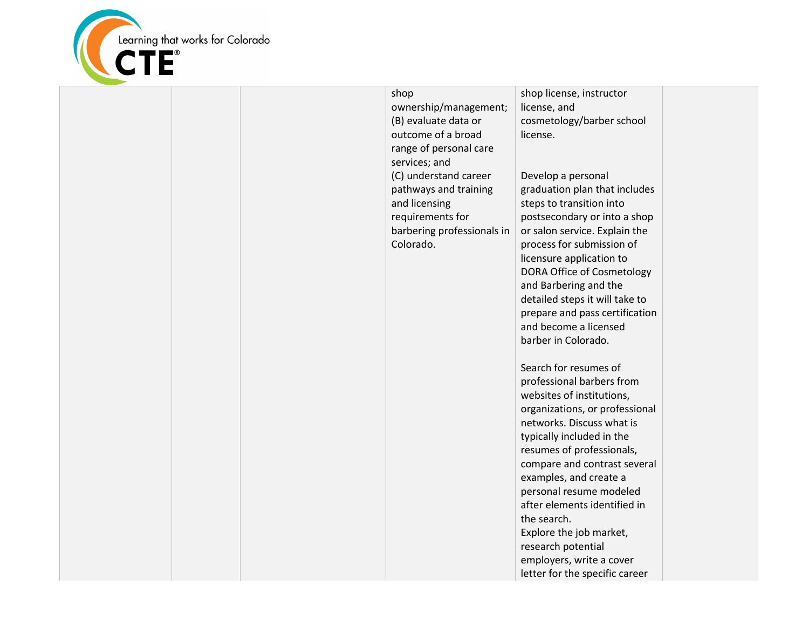

|  | shop<br>ownership/management;<br>(B) evaluate data or<br>outcome of a broad<br>range of personal care<br>services; and<br>(C) understand career<br>pathways and training<br>and licensing<br>requirements for<br>barbering professionals in<br>Colorado. | shop license, instructor<br>license, and<br>cosmetology/barber school<br>license.<br>Develop a personal<br>graduation plan that includes<br>steps to transition into<br>postsecondary or into a shop<br>or salon service. Explain the<br>process for submission of<br>licensure application to<br>DORA Office of Cosmetology<br>and Barbering and the<br>detailed steps it will take to<br>prepare and pass certification<br>and become a licensed<br>barber in Colorado.<br>Search for resumes of<br>professional barbers from<br>websites of institutions,<br>organizations, or professional<br>networks. Discuss what is<br>typically included in the<br>resumes of professionals,<br>compare and contrast several<br>examples, and create a<br>personal resume modeled<br>after elements identified in<br>the search.<br>Explore the job market, |  |
|--|----------------------------------------------------------------------------------------------------------------------------------------------------------------------------------------------------------------------------------------------------------|------------------------------------------------------------------------------------------------------------------------------------------------------------------------------------------------------------------------------------------------------------------------------------------------------------------------------------------------------------------------------------------------------------------------------------------------------------------------------------------------------------------------------------------------------------------------------------------------------------------------------------------------------------------------------------------------------------------------------------------------------------------------------------------------------------------------------------------------------|--|
|  |                                                                                                                                                                                                                                                          | research potential<br>employers, write a cover                                                                                                                                                                                                                                                                                                                                                                                                                                                                                                                                                                                                                                                                                                                                                                                                       |  |
|  |                                                                                                                                                                                                                                                          | letter for the specific career                                                                                                                                                                                                                                                                                                                                                                                                                                                                                                                                                                                                                                                                                                                                                                                                                       |  |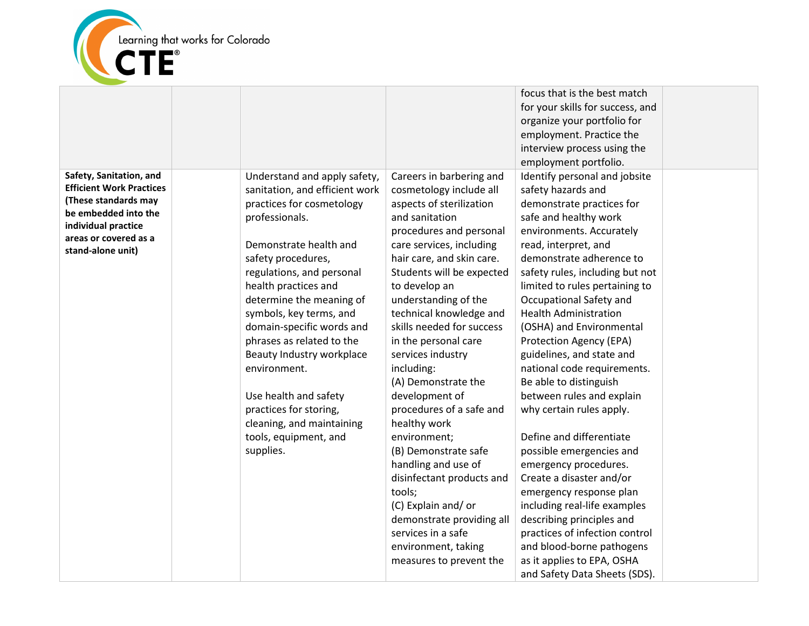

|                                              |                                |                           | focus that is the best match     |  |
|----------------------------------------------|--------------------------------|---------------------------|----------------------------------|--|
|                                              |                                |                           | for your skills for success, and |  |
|                                              |                                |                           | organize your portfolio for      |  |
|                                              |                                |                           | employment. Practice the         |  |
|                                              |                                |                           | interview process using the      |  |
|                                              |                                |                           | employment portfolio.            |  |
| Safety, Sanitation, and                      | Understand and apply safety,   | Careers in barbering and  | Identify personal and jobsite    |  |
| <b>Efficient Work Practices</b>              | sanitation, and efficient work | cosmetology include all   | safety hazards and               |  |
| (These standards may                         | practices for cosmetology      | aspects of sterilization  | demonstrate practices for        |  |
| be embedded into the                         | professionals.                 | and sanitation            | safe and healthy work            |  |
| individual practice<br>areas or covered as a |                                | procedures and personal   | environments. Accurately         |  |
| stand-alone unit)                            | Demonstrate health and         | care services, including  | read, interpret, and             |  |
|                                              | safety procedures,             | hair care, and skin care. | demonstrate adherence to         |  |
|                                              | regulations, and personal      | Students will be expected | safety rules, including but not  |  |
|                                              | health practices and           | to develop an             | limited to rules pertaining to   |  |
|                                              | determine the meaning of       | understanding of the      | Occupational Safety and          |  |
|                                              | symbols, key terms, and        | technical knowledge and   | <b>Health Administration</b>     |  |
|                                              | domain-specific words and      | skills needed for success | (OSHA) and Environmental         |  |
|                                              | phrases as related to the      | in the personal care      | Protection Agency (EPA)          |  |
|                                              | Beauty Industry workplace      | services industry         | guidelines, and state and        |  |
|                                              | environment.                   | including:                | national code requirements.      |  |
|                                              |                                | (A) Demonstrate the       | Be able to distinguish           |  |
|                                              | Use health and safety          | development of            | between rules and explain        |  |
|                                              | practices for storing,         | procedures of a safe and  | why certain rules apply.         |  |
|                                              | cleaning, and maintaining      | healthy work              |                                  |  |
|                                              | tools, equipment, and          | environment;              | Define and differentiate         |  |
|                                              | supplies.                      | (B) Demonstrate safe      | possible emergencies and         |  |
|                                              |                                | handling and use of       | emergency procedures.            |  |
|                                              |                                | disinfectant products and | Create a disaster and/or         |  |
|                                              |                                | tools;                    | emergency response plan          |  |
|                                              |                                | (C) Explain and/or        | including real-life examples     |  |
|                                              |                                | demonstrate providing all | describing principles and        |  |
|                                              |                                | services in a safe        | practices of infection control   |  |
|                                              |                                | environment, taking       | and blood-borne pathogens        |  |
|                                              |                                | measures to prevent the   | as it applies to EPA, OSHA       |  |
|                                              |                                |                           | and Safety Data Sheets (SDS).    |  |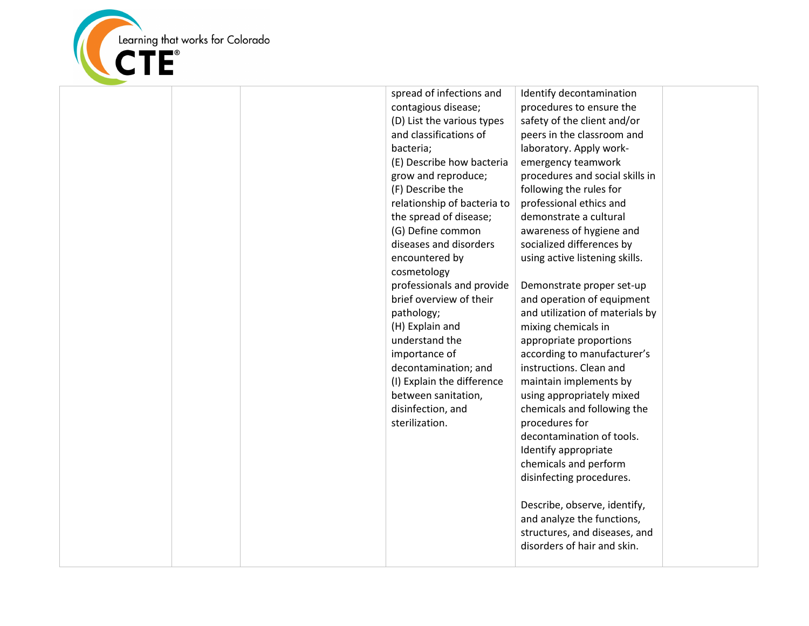

|  | spread of infections and    | Identify decontamination        |  |
|--|-----------------------------|---------------------------------|--|
|  | contagious disease;         | procedures to ensure the        |  |
|  | (D) List the various types  | safety of the client and/or     |  |
|  | and classifications of      | peers in the classroom and      |  |
|  | bacteria;                   | laboratory. Apply work-         |  |
|  | (E) Describe how bacteria   | emergency teamwork              |  |
|  | grow and reproduce;         | procedures and social skills in |  |
|  | (F) Describe the            | following the rules for         |  |
|  | relationship of bacteria to | professional ethics and         |  |
|  | the spread of disease;      | demonstrate a cultural          |  |
|  | (G) Define common           | awareness of hygiene and        |  |
|  | diseases and disorders      | socialized differences by       |  |
|  | encountered by              | using active listening skills.  |  |
|  | cosmetology                 |                                 |  |
|  | professionals and provide   | Demonstrate proper set-up       |  |
|  | brief overview of their     | and operation of equipment      |  |
|  | pathology;                  | and utilization of materials by |  |
|  | (H) Explain and             | mixing chemicals in             |  |
|  | understand the              | appropriate proportions         |  |
|  | importance of               | according to manufacturer's     |  |
|  | decontamination; and        | instructions. Clean and         |  |
|  | (I) Explain the difference  | maintain implements by          |  |
|  | between sanitation,         | using appropriately mixed       |  |
|  | disinfection, and           | chemicals and following the     |  |
|  | sterilization.              | procedures for                  |  |
|  |                             | decontamination of tools.       |  |
|  |                             | Identify appropriate            |  |
|  |                             | chemicals and perform           |  |
|  |                             | disinfecting procedures.        |  |
|  |                             |                                 |  |
|  |                             | Describe, observe, identify,    |  |
|  |                             | and analyze the functions,      |  |
|  |                             | structures, and diseases, and   |  |
|  |                             | disorders of hair and skin.     |  |
|  |                             |                                 |  |
|  |                             |                                 |  |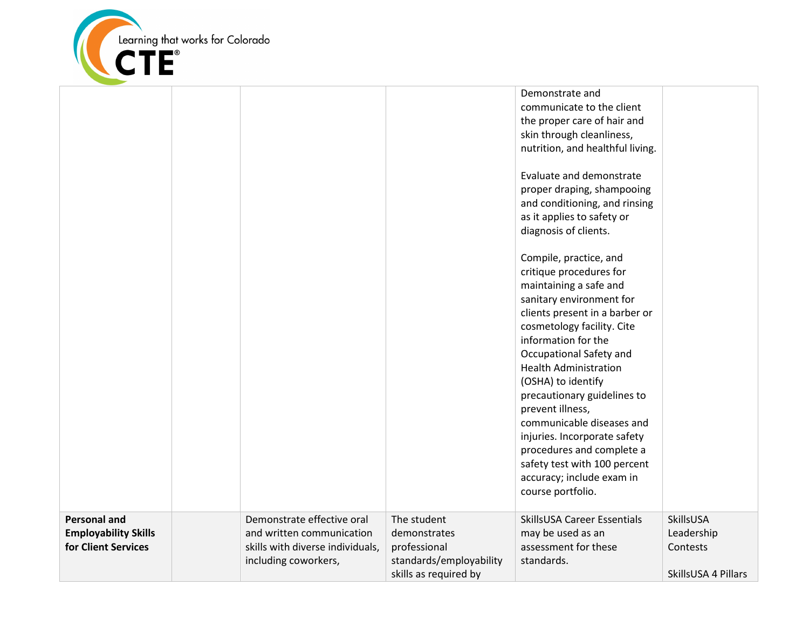

|                                                                           |                                                                                                                     |                                                                                                 | Demonstrate and<br>communicate to the client<br>the proper care of hair and<br>skin through cleanliness,<br>nutrition, and healthful living.<br>Evaluate and demonstrate<br>proper draping, shampooing<br>and conditioning, and rinsing<br>as it applies to safety or<br>diagnosis of clients.<br>Compile, practice, and<br>critique procedures for<br>maintaining a safe and<br>sanitary environment for<br>clients present in a barber or<br>cosmetology facility. Cite<br>information for the<br>Occupational Safety and<br><b>Health Administration</b><br>(OSHA) to identify<br>precautionary guidelines to<br>prevent illness,<br>communicable diseases and<br>injuries. Incorporate safety<br>procedures and complete a<br>safety test with 100 percent<br>accuracy; include exam in<br>course portfolio. |                                                            |
|---------------------------------------------------------------------------|---------------------------------------------------------------------------------------------------------------------|-------------------------------------------------------------------------------------------------|------------------------------------------------------------------------------------------------------------------------------------------------------------------------------------------------------------------------------------------------------------------------------------------------------------------------------------------------------------------------------------------------------------------------------------------------------------------------------------------------------------------------------------------------------------------------------------------------------------------------------------------------------------------------------------------------------------------------------------------------------------------------------------------------------------------|------------------------------------------------------------|
| <b>Personal and</b><br><b>Employability Skills</b><br>for Client Services | Demonstrate effective oral<br>and written communication<br>skills with diverse individuals,<br>including coworkers, | The student<br>demonstrates<br>professional<br>standards/employability<br>skills as required by | SkillsUSA Career Essentials<br>may be used as an<br>assessment for these<br>standards.                                                                                                                                                                                                                                                                                                                                                                                                                                                                                                                                                                                                                                                                                                                           | SkillsUSA<br>Leadership<br>Contests<br>SkillsUSA 4 Pillars |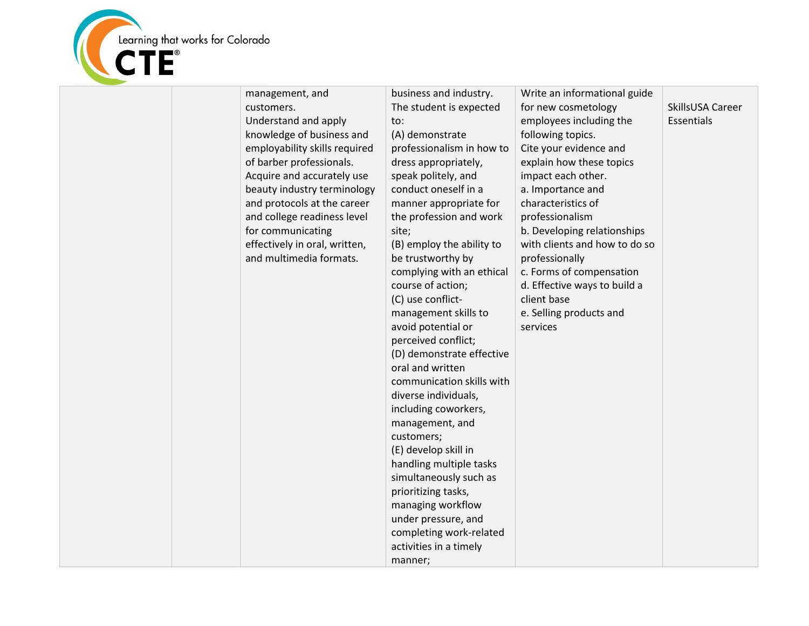

| customers.<br>Understand and apply<br>to:<br>knowledge of business and<br>(A) demonstrate<br>employability skills required<br>of barber professionals.<br>dress appropriately,<br>Acquire and accurately use<br>speak politely, and<br>conduct oneself in a<br>beauty industry terminology<br>and protocols at the career<br>and college readiness level<br>for communicating<br>site;<br>effectively in oral, written,<br>and multimedia formats.<br>be trustworthy by<br>course of action;<br>(C) use conflict-<br>management skills to<br>avoid potential or<br>perceived conflict;<br>oral and written<br>communication skills with<br>diverse individuals,<br>including coworkers,<br>management, and<br>customers;<br>(E) develop skill in | The student is expected<br>for new cosmetology<br>SkillsUSA Career<br>employees including the<br>Essentials<br>following topics.<br>professionalism in how to<br>Cite your evidence and<br>explain how these topics<br>impact each other.<br>a. Importance and<br>manner appropriate for<br>characteristics of<br>professionalism<br>the profession and work<br>b. Developing relationships<br>with clients and how to do so<br>(B) employ the ability to<br>professionally<br>complying with an ethical<br>c. Forms of compensation<br>d. Effective ways to build a<br>client base<br>e. Selling products and<br>services<br>(D) demonstrate effective |
|--------------------------------------------------------------------------------------------------------------------------------------------------------------------------------------------------------------------------------------------------------------------------------------------------------------------------------------------------------------------------------------------------------------------------------------------------------------------------------------------------------------------------------------------------------------------------------------------------------------------------------------------------------------------------------------------------------------------------------------------------|---------------------------------------------------------------------------------------------------------------------------------------------------------------------------------------------------------------------------------------------------------------------------------------------------------------------------------------------------------------------------------------------------------------------------------------------------------------------------------------------------------------------------------------------------------------------------------------------------------------------------------------------------------|
|--------------------------------------------------------------------------------------------------------------------------------------------------------------------------------------------------------------------------------------------------------------------------------------------------------------------------------------------------------------------------------------------------------------------------------------------------------------------------------------------------------------------------------------------------------------------------------------------------------------------------------------------------------------------------------------------------------------------------------------------------|---------------------------------------------------------------------------------------------------------------------------------------------------------------------------------------------------------------------------------------------------------------------------------------------------------------------------------------------------------------------------------------------------------------------------------------------------------------------------------------------------------------------------------------------------------------------------------------------------------------------------------------------------------|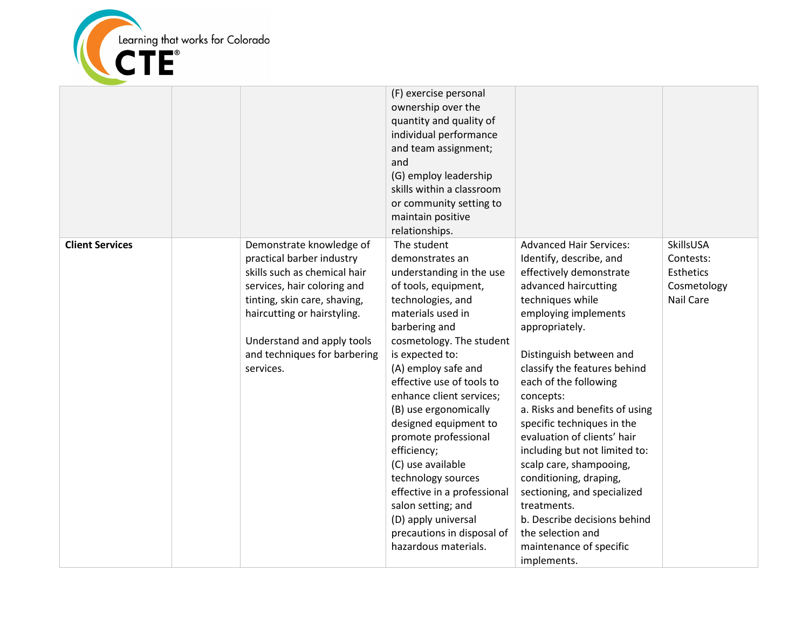

|                        |                                                                                                                                                                                                                                                                | (F) exercise personal<br>ownership over the<br>quantity and quality of<br>individual performance<br>and team assignment;<br>and<br>(G) employ leadership<br>skills within a classroom<br>or community setting to<br>maintain positive<br>relationships.                                                                                                                                                                                                                                                                                            |                                                                                                                                                                                                                                                                                                                                                                                                                                                                                                                                                                                                               |                                                                        |
|------------------------|----------------------------------------------------------------------------------------------------------------------------------------------------------------------------------------------------------------------------------------------------------------|----------------------------------------------------------------------------------------------------------------------------------------------------------------------------------------------------------------------------------------------------------------------------------------------------------------------------------------------------------------------------------------------------------------------------------------------------------------------------------------------------------------------------------------------------|---------------------------------------------------------------------------------------------------------------------------------------------------------------------------------------------------------------------------------------------------------------------------------------------------------------------------------------------------------------------------------------------------------------------------------------------------------------------------------------------------------------------------------------------------------------------------------------------------------------|------------------------------------------------------------------------|
| <b>Client Services</b> | Demonstrate knowledge of<br>practical barber industry<br>skills such as chemical hair<br>services, hair coloring and<br>tinting, skin care, shaving,<br>haircutting or hairstyling.<br>Understand and apply tools<br>and techniques for barbering<br>services. | The student<br>demonstrates an<br>understanding in the use<br>of tools, equipment,<br>technologies, and<br>materials used in<br>barbering and<br>cosmetology. The student<br>is expected to:<br>(A) employ safe and<br>effective use of tools to<br>enhance client services;<br>(B) use ergonomically<br>designed equipment to<br>promote professional<br>efficiency;<br>(C) use available<br>technology sources<br>effective in a professional<br>salon setting; and<br>(D) apply universal<br>precautions in disposal of<br>hazardous materials. | <b>Advanced Hair Services:</b><br>Identify, describe, and<br>effectively demonstrate<br>advanced haircutting<br>techniques while<br>employing implements<br>appropriately.<br>Distinguish between and<br>classify the features behind<br>each of the following<br>concepts:<br>a. Risks and benefits of using<br>specific techniques in the<br>evaluation of clients' hair<br>including but not limited to:<br>scalp care, shampooing,<br>conditioning, draping,<br>sectioning, and specialized<br>treatments.<br>b. Describe decisions behind<br>the selection and<br>maintenance of specific<br>implements. | SkillsUSA<br>Contests:<br>Esthetics<br>Cosmetology<br><b>Nail Care</b> |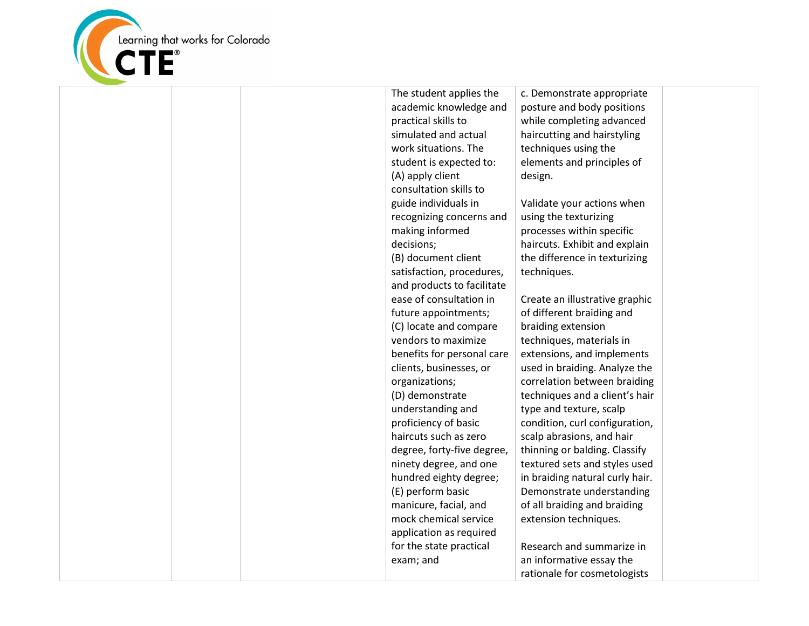

| The student applies the    | c. Demonstra    |
|----------------------------|-----------------|
| academic knowledge and     | posture and     |
| practical skills to        | while comple    |
| simulated and actual       | haircutting a   |
| work situations. The       | techniques u    |
| student is expected to:    | elements and    |
| (A) apply client           | design.         |
| consultation skills to     |                 |
| guide individuals in       | Validate you    |
| recognizing concerns and   | using the tex   |
| making informed            | processes wi    |
| decisions;                 | haircuts. Exh   |
| (B) document client        | the differenc   |
| satisfaction, procedures,  | techniques.     |
| and products to facilitate |                 |
| ease of consultation in    | Create an illu  |
| future appointments;       | of different b  |
| (C) locate and compare     | braiding exte   |
| vendors to maximize        | techniques, r   |
| benefits for personal care | extensions, a   |
| clients, businesses, or    | used in braid   |
| organizations;             | correlation b   |
| (D) demonstrate            | techniques a    |
| understanding and          | type and text   |
| proficiency of basic       | condition, cu   |
| haircuts such as zero      | scalp abrasio   |
| degree, forty-five degree, | thinning or b   |
| ninety degree, and one     | textured sets   |
| hundred eighty degree;     | in braiding na  |
| (E) perform basic          | Demonstrate     |
| manicure, facial, and      | of all braiding |
| mock chemical service      | extension ter   |
| application as required    |                 |
| for the state practical    | Research and    |
| exam; and                  | an informativ   |
|                            | rationale for   |

ate appropriate body positions eting advanced Ind hairstyling using the d principles of

r actions when durizing ithin specific hibit and explain the in texturizing

ustrative graphic braiding and ension materials in and implements ling. Analyze the etween braiding and a client's hair ture, scalp arl configuration, ons, and hair alding. Classify s and styles used atural curly hair. e understanding g and braiding chniques.

d summarize in ve essay the cosmetologists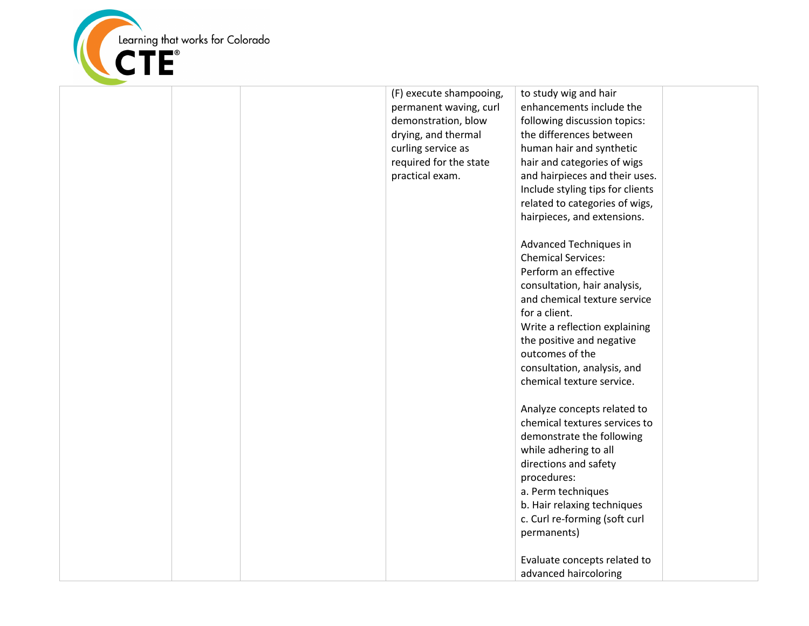

|  | (F) execute shampooing, | to study wig and hair            |  |
|--|-------------------------|----------------------------------|--|
|  | permanent waving, curl  | enhancements include the         |  |
|  | demonstration, blow     | following discussion topics:     |  |
|  | drying, and thermal     | the differences between          |  |
|  | curling service as      | human hair and synthetic         |  |
|  | required for the state  | hair and categories of wigs      |  |
|  | practical exam.         | and hairpieces and their uses.   |  |
|  |                         | Include styling tips for clients |  |
|  |                         | related to categories of wigs,   |  |
|  |                         |                                  |  |
|  |                         | hairpieces, and extensions.      |  |
|  |                         | Advanced Techniques in           |  |
|  |                         | <b>Chemical Services:</b>        |  |
|  |                         | Perform an effective             |  |
|  |                         | consultation, hair analysis,     |  |
|  |                         | and chemical texture service     |  |
|  |                         | for a client.                    |  |
|  |                         | Write a reflection explaining    |  |
|  |                         | the positive and negative        |  |
|  |                         | outcomes of the                  |  |
|  |                         |                                  |  |
|  |                         | consultation, analysis, and      |  |
|  |                         | chemical texture service.        |  |
|  |                         | Analyze concepts related to      |  |
|  |                         | chemical textures services to    |  |
|  |                         | demonstrate the following        |  |
|  |                         | while adhering to all            |  |
|  |                         | directions and safety            |  |
|  |                         | procedures:                      |  |
|  |                         | a. Perm techniques               |  |
|  |                         | b. Hair relaxing techniques      |  |
|  |                         | c. Curl re-forming (soft curl    |  |
|  |                         | permanents)                      |  |
|  |                         |                                  |  |
|  |                         | Evaluate concepts related to     |  |
|  |                         | advanced haircoloring            |  |
|  |                         |                                  |  |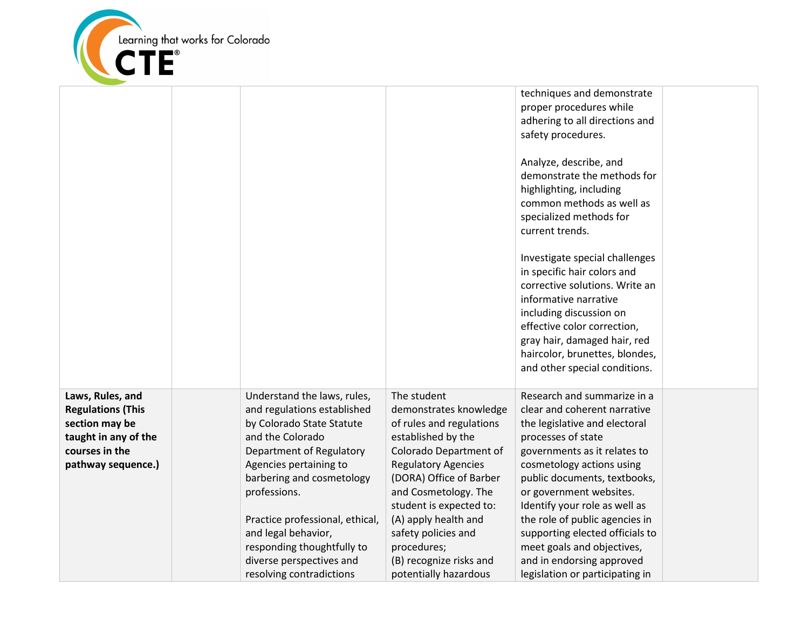

|                                                                                                                                |                                                                                                                                                                                                                                                                                                                                                                |                                                                                                                                                                                                                                                                                                                                                 | techniques and demonstrate<br>proper procedures while<br>adhering to all directions and<br>safety procedures.<br>Analyze, describe, and<br>demonstrate the methods for<br>highlighting, including<br>common methods as well as<br>specialized methods for<br>current trends.<br>Investigate special challenges<br>in specific hair colors and                                                                                                  |  |
|--------------------------------------------------------------------------------------------------------------------------------|----------------------------------------------------------------------------------------------------------------------------------------------------------------------------------------------------------------------------------------------------------------------------------------------------------------------------------------------------------------|-------------------------------------------------------------------------------------------------------------------------------------------------------------------------------------------------------------------------------------------------------------------------------------------------------------------------------------------------|------------------------------------------------------------------------------------------------------------------------------------------------------------------------------------------------------------------------------------------------------------------------------------------------------------------------------------------------------------------------------------------------------------------------------------------------|--|
|                                                                                                                                |                                                                                                                                                                                                                                                                                                                                                                |                                                                                                                                                                                                                                                                                                                                                 | corrective solutions. Write an<br>informative narrative<br>including discussion on<br>effective color correction,<br>gray hair, damaged hair, red<br>haircolor, brunettes, blondes,<br>and other special conditions.                                                                                                                                                                                                                           |  |
| Laws, Rules, and<br><b>Regulations (This</b><br>section may be<br>taught in any of the<br>courses in the<br>pathway sequence.) | Understand the laws, rules,<br>and regulations established<br>by Colorado State Statute<br>and the Colorado<br>Department of Regulatory<br>Agencies pertaining to<br>barbering and cosmetology<br>professions.<br>Practice professional, ethical,<br>and legal behavior,<br>responding thoughtfully to<br>diverse perspectives and<br>resolving contradictions | The student<br>demonstrates knowledge<br>of rules and regulations<br>established by the<br>Colorado Department of<br><b>Regulatory Agencies</b><br>(DORA) Office of Barber<br>and Cosmetology. The<br>student is expected to:<br>(A) apply health and<br>safety policies and<br>procedures;<br>(B) recognize risks and<br>potentially hazardous | Research and summarize in a<br>clear and coherent narrative<br>the legislative and electoral<br>processes of state<br>governments as it relates to<br>cosmetology actions using<br>public documents, textbooks,<br>or government websites.<br>Identify your role as well as<br>the role of public agencies in<br>supporting elected officials to<br>meet goals and objectives,<br>and in endorsing approved<br>legislation or participating in |  |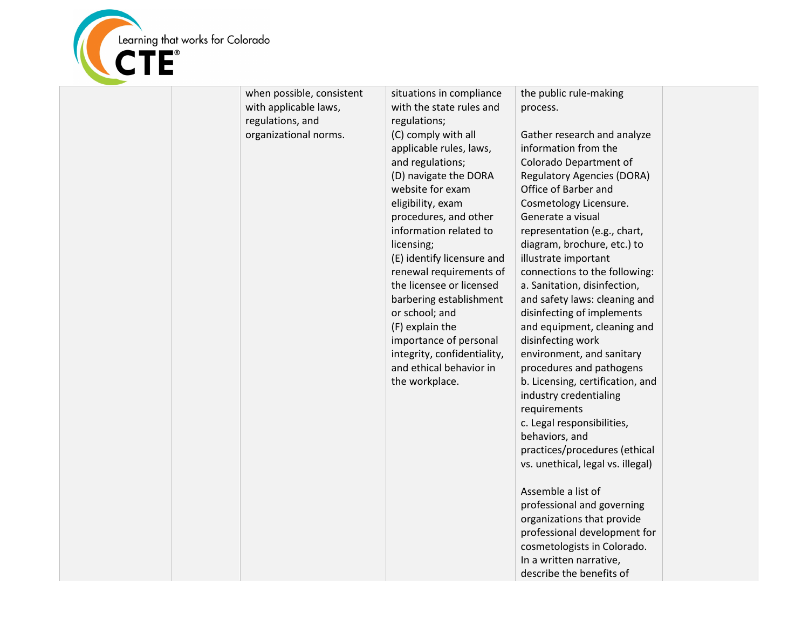

| when possible, consistent<br>with applicable laws,<br>regulations, and<br>organizational norms. | situations in compliance<br>with the state rules and<br>regulations;<br>(C) comply with all<br>applicable rules, laws,<br>and regulations;<br>(D) navigate the DORA<br>website for exam<br>eligibility, exam<br>procedures, and other<br>information related to<br>licensing;<br>(E) identify licensure and<br>renewal requirements of<br>the licensee or licensed<br>barbering establishment<br>or school; and<br>(F) explain the<br>importance of personal<br>integrity, confidentiality,<br>and ethical behavior in<br>the workplace. | the public rule-making<br>process.<br>Gather research and analyze<br>information from the<br>Colorado Department of<br><b>Regulatory Agencies (DORA)</b><br>Office of Barber and<br>Cosmetology Licensure.<br>Generate a visual<br>representation (e.g., chart,<br>diagram, brochure, etc.) to<br>illustrate important<br>connections to the following:<br>a. Sanitation, disinfection,<br>and safety laws: cleaning and<br>disinfecting of implements<br>and equipment, cleaning and<br>disinfecting work<br>environment, and sanitary<br>procedures and pathogens<br>b. Licensing, certification, and<br>industry credentialing<br>requirements<br>c. Legal responsibilities,<br>behaviors, and<br>practices/procedures (ethical<br>vs. unethical, legal vs. illegal)<br>Assemble a list of<br>professional and governing<br>organizations that provide<br>professional development for<br>cosmetologists in Colorado.<br>In a written narrative,<br>describe the benefits of |  |
|-------------------------------------------------------------------------------------------------|------------------------------------------------------------------------------------------------------------------------------------------------------------------------------------------------------------------------------------------------------------------------------------------------------------------------------------------------------------------------------------------------------------------------------------------------------------------------------------------------------------------------------------------|---------------------------------------------------------------------------------------------------------------------------------------------------------------------------------------------------------------------------------------------------------------------------------------------------------------------------------------------------------------------------------------------------------------------------------------------------------------------------------------------------------------------------------------------------------------------------------------------------------------------------------------------------------------------------------------------------------------------------------------------------------------------------------------------------------------------------------------------------------------------------------------------------------------------------------------------------------------------------------|--|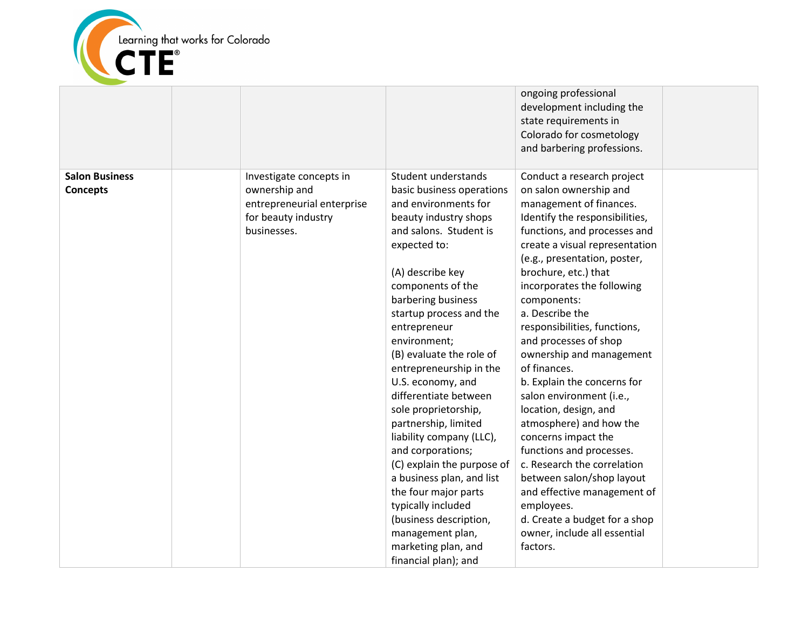

|                                          |                                                                                                              |                                                                                                                                                                                                                                                                                                                                                                                                                                                                                                                                                                                                                                                                                   | ongoing professional<br>development including the<br>state requirements in<br>Colorado for cosmetology<br>and barbering professions.                                                                                                                                                                                                                                                                                                                                                                                                                                                                                                                                                                                                                                     |  |
|------------------------------------------|--------------------------------------------------------------------------------------------------------------|-----------------------------------------------------------------------------------------------------------------------------------------------------------------------------------------------------------------------------------------------------------------------------------------------------------------------------------------------------------------------------------------------------------------------------------------------------------------------------------------------------------------------------------------------------------------------------------------------------------------------------------------------------------------------------------|--------------------------------------------------------------------------------------------------------------------------------------------------------------------------------------------------------------------------------------------------------------------------------------------------------------------------------------------------------------------------------------------------------------------------------------------------------------------------------------------------------------------------------------------------------------------------------------------------------------------------------------------------------------------------------------------------------------------------------------------------------------------------|--|
| <b>Salon Business</b><br><b>Concepts</b> | Investigate concepts in<br>ownership and<br>entrepreneurial enterprise<br>for beauty industry<br>businesses. | Student understands<br>basic business operations<br>and environments for<br>beauty industry shops<br>and salons. Student is<br>expected to:<br>(A) describe key<br>components of the<br>barbering business<br>startup process and the<br>entrepreneur<br>environment;<br>(B) evaluate the role of<br>entrepreneurship in the<br>U.S. economy, and<br>differentiate between<br>sole proprietorship,<br>partnership, limited<br>liability company (LLC),<br>and corporations;<br>(C) explain the purpose of<br>a business plan, and list<br>the four major parts<br>typically included<br>(business description,<br>management plan,<br>marketing plan, and<br>financial plan); and | Conduct a research project<br>on salon ownership and<br>management of finances.<br>Identify the responsibilities,<br>functions, and processes and<br>create a visual representation<br>(e.g., presentation, poster,<br>brochure, etc.) that<br>incorporates the following<br>components:<br>a. Describe the<br>responsibilities, functions,<br>and processes of shop<br>ownership and management<br>of finances.<br>b. Explain the concerns for<br>salon environment (i.e.,<br>location, design, and<br>atmosphere) and how the<br>concerns impact the<br>functions and processes.<br>c. Research the correlation<br>between salon/shop layout<br>and effective management of<br>employees.<br>d. Create a budget for a shop<br>owner, include all essential<br>factors. |  |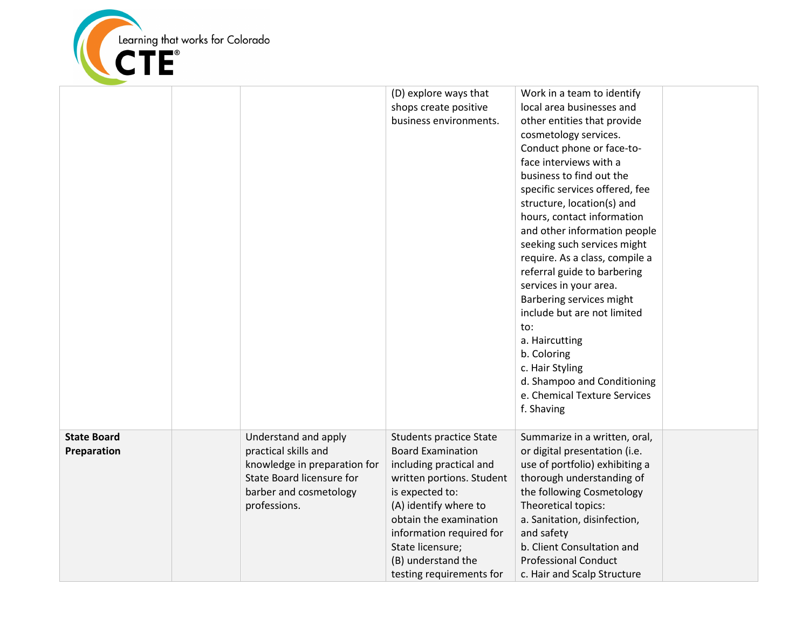

|                                   |                                                                                                                                                     | (D) explore ways that<br>shops create positive<br>business environments.                                                                                                                                                                                                                   | Work in a team to identify<br>local area businesses and<br>other entities that provide<br>cosmetology services.<br>Conduct phone or face-to-<br>face interviews with a<br>business to find out the<br>specific services offered, fee<br>structure, location(s) and<br>hours, contact information<br>and other information people<br>seeking such services might<br>require. As a class, compile a<br>referral guide to barbering<br>services in your area.<br>Barbering services might<br>include but are not limited<br>to:<br>a. Haircutting<br>b. Coloring<br>c. Hair Styling<br>d. Shampoo and Conditioning<br>e. Chemical Texture Services<br>f. Shaving |  |
|-----------------------------------|-----------------------------------------------------------------------------------------------------------------------------------------------------|--------------------------------------------------------------------------------------------------------------------------------------------------------------------------------------------------------------------------------------------------------------------------------------------|---------------------------------------------------------------------------------------------------------------------------------------------------------------------------------------------------------------------------------------------------------------------------------------------------------------------------------------------------------------------------------------------------------------------------------------------------------------------------------------------------------------------------------------------------------------------------------------------------------------------------------------------------------------|--|
| <b>State Board</b><br>Preparation | Understand and apply<br>practical skills and<br>knowledge in preparation for<br>State Board licensure for<br>barber and cosmetology<br>professions. | <b>Students practice State</b><br><b>Board Examination</b><br>including practical and<br>written portions. Student<br>is expected to:<br>(A) identify where to<br>obtain the examination<br>information required for<br>State licensure;<br>(B) understand the<br>testing requirements for | Summarize in a written, oral,<br>or digital presentation (i.e.<br>use of portfolio) exhibiting a<br>thorough understanding of<br>the following Cosmetology<br>Theoretical topics:<br>a. Sanitation, disinfection,<br>and safety<br>b. Client Consultation and<br><b>Professional Conduct</b><br>c. Hair and Scalp Structure                                                                                                                                                                                                                                                                                                                                   |  |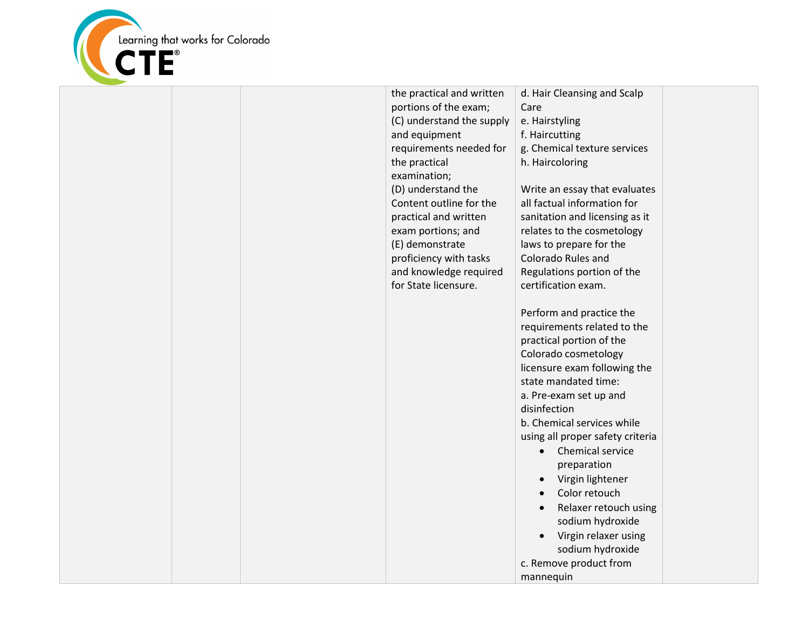